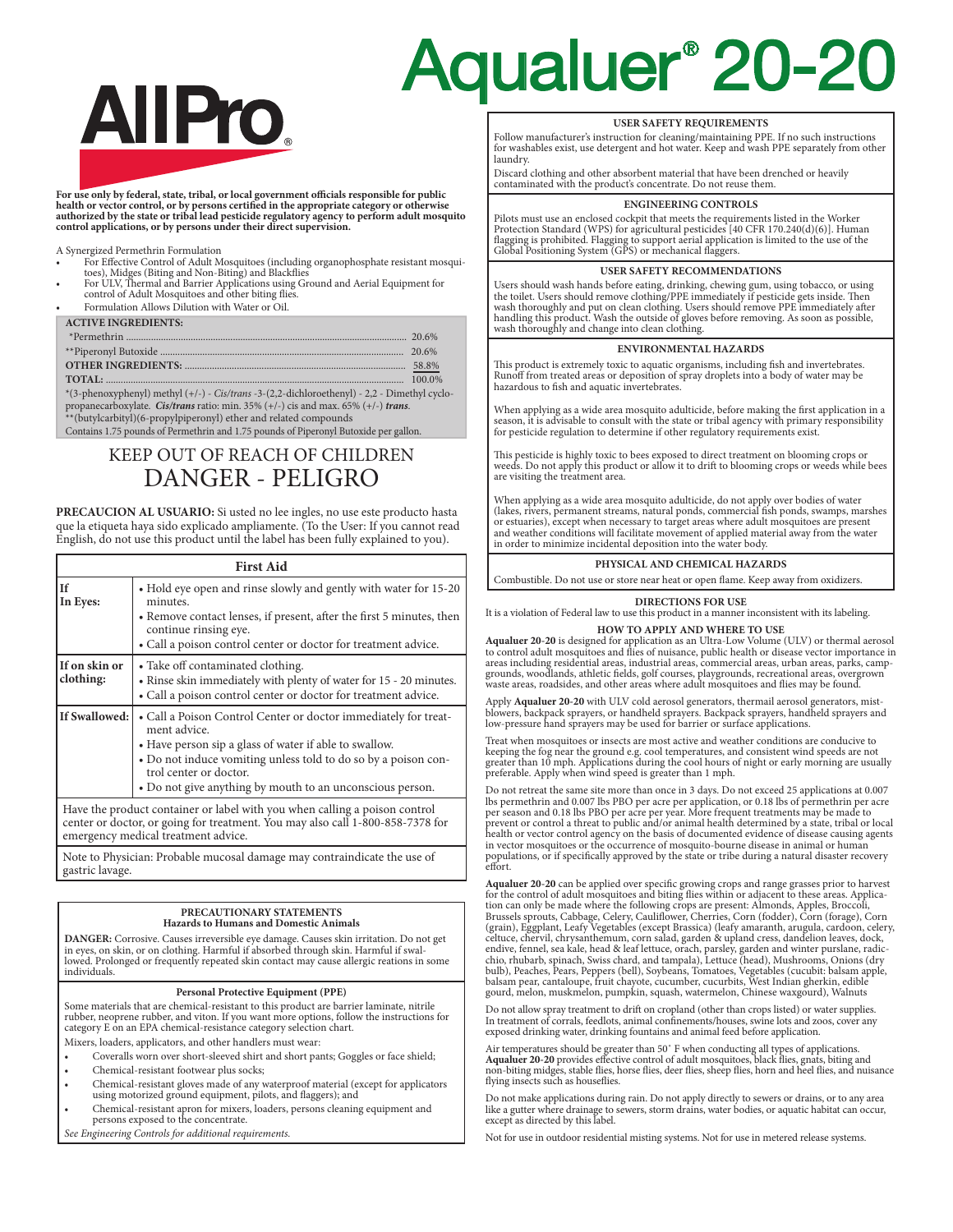# **AllPro**

For use only by federal, state, tribal, or local government officials responsible for public<br>health or vector control, or by persons certified in the appropriate category or otherwise<br>authorized by the state or tribal lead **control applications, or by persons under their direct supervision.**

A Synergized Permethrin Formulation

For Effective Control of Adult Mosquitoes (including organophosphate resistant mosqui-

toes), Midges (Biting and Non-Biting) and Blackflies • For ULV, Thermal and Barrier Applications using Ground and Aerial Equipment for control of Adult Mosquitoes and other biting flies.

• Formulation Allows Dilution with Water or Oil.

| <b>ACTIVE INGREDIENTS:</b> |  |
|----------------------------|--|
|                            |  |
|                            |  |
|                            |  |
|                            |  |

\*(3-phenoxyphenyl) methyl (+/-) - *Cis/trans* -3-(2,2-dichloroethenyl) - 2,2 - Dimethyl cyclopropanecarboxylate. *Cis/trans* ratio: min. 35% (+/-) cis and max. 65% (+/-) *trans*. \*\*(butylcarbityl)(6-propylpiperonyl) ether and related compounds

Contains 1.75 pounds of Permethrin and 1.75 pounds of Piperonyl Butoxide per gallon.

### KEEP OUT OF REACH OF CHILDREN DANGER - PELIGRO

**PRECAUCION AL USUARIO:** Si usted no lee ingles, no use este producto hasta que la etiqueta haya sido explicado ampliamente. (To the User: If you cannot read English, do not use this product until the label has been fully explained to you).

| <b>First Aid</b>           |                                                                                                                                                                                                                                                                                                    |  |  |  |  |
|----------------------------|----------------------------------------------------------------------------------------------------------------------------------------------------------------------------------------------------------------------------------------------------------------------------------------------------|--|--|--|--|
| If<br>In Eyes:             | • Hold eye open and rinse slowly and gently with water for 15-20<br>minutes.<br>• Remove contact lenses, if present, after the first 5 minutes, then<br>continue rinsing eye.<br>• Call a poison control center or doctor for treatment advice.                                                    |  |  |  |  |
| If on skin or<br>clothing: | • Take off contaminated clothing.<br>• Rinse skin immediately with plenty of water for 15 - 20 minutes.<br>• Call a poison control center or doctor for treatment advice.                                                                                                                          |  |  |  |  |
| If Swallowed:              | • Call a Poison Control Center or doctor immediately for treat-<br>ment advice.<br>• Have person sip a glass of water if able to swallow.<br>• Do not induce vomiting unless told to do so by a poison con-<br>trol center or doctor.<br>• Do not give anything by mouth to an unconscious person. |  |  |  |  |
|                            | Have the product container or label with you when calling a poison control<br>center or doctor, or going for treatment. You may also call 1-800-858-7378 for<br>emergency medical treatment advice.                                                                                                |  |  |  |  |

Note to Physician: Probable mucosal damage may contraindicate the use of gastric lavage.

#### **PRECAUTIONARY STATEMENTS Hazards to Humans and Domestic Animals**

**DANGER:** Corrosive. Causes irreversible eye damage. Causes skin irritation. Do not get lowed. Prolonged or frequently repeated skin contact may cause allergic reations in some individuals.

#### **Personal Protective Equipment (PPE)**

Some materials that are chemical-resistant to this product are barrier laminate, nitrile rubber, neoprene rubber, and viton. If you want more options, follow the instructions for category E on an EPA chemical-resistance category selection chart. Mixers, loaders, applicators, and other handlers must wear:

- 
- Coveralls worn over short-sleeved shirt and short pants; Goggles or face shield;
- Chemical-resistant footwear plus socks;
- Chemical-resistant gloves made of any waterproof material (except for applicators using motorized ground equipment, pilots, and flaggers); and
- Chemical-resistant apron for mixers, loaders, persons cleaning equipment and persons exposed to the concentrate.
- *See Engineering Controls for additional requirements.*

## Aqualuer<sup>®</sup> 20-20

#### **USER SAFETY REQUIREMENTS**

Follow manufacturer's instruction for cleaning/maintaining PPE. If no such instructions for washables exist, use detergent and hot water. Keep and wash PPE separately from other laundry.

Discard clothing and other absorbent material that have been drenched or heavily contaminated with the product's concentrate. Do not reuse them.

#### **ENGINEERING CONTROLS**

Pilots must use an enclosed cockpit that meets the requirements listed in the Worker Protection Standard (WPS) for agricultural pesticides [40 CFR 170.240(d)(6)]. Human flagging is prohibited. Flagging to support aerial application is limited to the use of the Global Positioning System (GPS) or mechanical flaggers.

#### **USER SAFETY RECOMMENDATIONS**

Users should wash hands before eating, drinking, chewing gum, using tobacco, or using<br>the toilet. Users should remove clothing/PPE immediately if pesticide gets inside. Then<br>wash thoroughly and put on clean clothing. Users

#### **ENVIRONMENTAL HAZARDS**

This product is extremely toxic to aquatic organisms, including fish and invertebrates. Runoff from treated areas or deposition of spray droplets into a body of water may be hazardous to fish and aquatic invertebrates.

When applying as a wide area mosquito adulticide, before making the first application in a season, it is advisable to consult with the state or tribal agency with primary responsibility for pesticide regulation to determine if other regulatory requirements exist.

This pesticide is highly toxic to bees exposed to direct treatment on blooming crops or weeds. Do not apply this product or allow it to drift to blooming crops or weeds while bees are visiting the treatment area.

When applying as a wide area mosquito adulticide, do not apply over bodies of water<br>(lakes, rivers, permanent streams, natural ponds, commercial fish ponds, swamps, marshes<br>or estuaries), except when necessary to target ar and weather conditions will facilitate movement of applied material away from the water in order to minimize incidental deposition into the water body.

#### **PHYSICAL AND CHEMICAL HAZARDS**

Combustible. Do not use or store near heat or open flame. Keep away from oxidizers.

#### **DIRECTIONS FOR USE**

It is a violation of Federal law to use this product in a manner inconsistent with its labeling. **HOW TO APPLY AND WHERE TO USE**

**Aqualuer 20-20** is designed for application as an Ultra-Low Volume (ULV) or thermal aerosol<br>to control adult mosquitoes and flies of nuisance, public health or disease vector importance in<br>areas including residential area grounds, woodlands, athletic fields, golf courses, playgrounds, recreational areas, overgrown waste areas, roadsides, and other areas where adult mosquitoes and flies may be found.

Apply **Aqualuer 20-20** with ULV cold aerosol generators, thermail aerosol generators, mist-<br>blowers, backpack sprayers, or handheld sprayers. Backpack sprayers, handheld sprayers and<br>low-pressure hand sprayers may be used

Treat when mosquitoes or insects are most active and weather conditions are conducive to keeping the fog near the ground e.g. cool temperatures, and consistent wind speeds are not greater than 10 mph. Applications during the cool hours of night or early morning are usually preferable. Apply when wind speed is greater than 1 mph.

Do not retreat the same site more than once in 3 days. Do not exceed 25 applications at 0.007<br>lbs permethrin and 0.007 lbs PBO per acre per application, or 0.18 lbs of permethrin per acre<br>per season and 0.18 lbs PBO per ac prevent or control a threat to public and/or animal health determined by a state, tribal or local health or vector control agency on the basis of documented evidence of disease causing agents in vector mosquitoes or the occurrence of mosquito-bourne disease in animal or human populations, or if specifically approved by the state or tribe during a natural disaster recovery effort.

Aqualuer 20-20 can be applied over specific growing crops and range grasses prior to harvest<br>for the control of adult mosquitoes and biting files within or adjacent to these areas. Applica-<br>for chan only be made where the gourd, melon, muskmelon, pumpkin, squash, watermelon, Chinese waxgourd), Walnuts

Do not allow spray treatment to drift on cropland (other than crops listed) or water supplies. In treatment of corrals, feedlots, animal confinements/houses, swine lots and zoos, cover any exposed drinking water, drinking fountains and animal feed before application.

Air temperatures should be greater than 50˚ F when conducting all types of applications. **Aqualuer 20-20** provides effective control of adult mosquitoes, black flies, gnats, biting and non-biting midges, stable flies, horse flies, deer flies, sheep flies, horn and heel flies, and nuisance flying insects such as houseflies.

Do not make applications during rain. Do not apply directly to sewers or drains, or to any area<br>like a gutter where drainage to sewers, storm drains, water bodies, or aquatic habitat can occur,<br>except as directed by this l

Not for use in outdoor residential misting systems. Not for use in metered release systems.